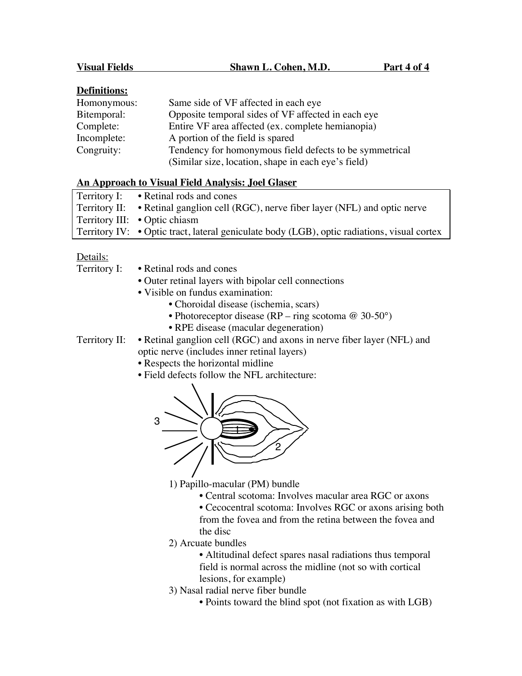| Homonymous: | Same side of VF affected in each eye                    |
|-------------|---------------------------------------------------------|
| Bitemporal: | Opposite temporal sides of VF affected in each eye      |
| Complete:   | Entire VF area affected (ex. complete hemianopia)       |
| Incomplete: | A portion of the field is spared                        |
| Congruity:  | Tendency for homonymous field defects to be symmetrical |
|             | (Similar size, location, shape in each eye's field)     |

## **An Approach to Visual Field Analysis: Joel Glaser**

| Territory I: • Retinal rods and cones                                                       |
|---------------------------------------------------------------------------------------------|
| Territory II: • Retinal ganglion cell (RGC), nerve fiber layer (NFL) and optic nerve        |
| Territory III: • Optic chiasm                                                               |
| Territory IV: • Optic tract, lateral geniculate body (LGB), optic radiations, visual cortex |

## Details:

| Territory I:  | • Retinal rods and cones                                               |
|---------------|------------------------------------------------------------------------|
|               | • Outer retinal layers with bipolar cell connections                   |
|               | • Visible on fundus examination:                                       |
|               | • Choroidal disease (ischemia, scars)                                  |
|               | • Photoreceptor disease (RP – ring scotoma $\omega$ 30-50°)            |
|               | • RPE disease (macular degeneration)                                   |
| Territory II: | • Retinal ganglion cell (RGC) and axons in nerve fiber layer (NFL) and |
|               | optic nerve (includes inner retinal layers)                            |
|               | • Respects the horizontal midline                                      |
|               | • Field defects follow the NFL architecture:                           |
|               | 3                                                                      |

1) Papillo-macular (PM) bundle

- Central scotoma: Involves macular area RGC or axons
- Cecocentral scotoma: Involves RGC or axons arising both from the fovea and from the retina between the fovea and the disc
- 2) Arcuate bundles
	- Altitudinal defect spares nasal radiations thus temporal field is normal across the midline (not so with cortical lesions, for example)
- 3) Nasal radial nerve fiber bundle
	- Points toward the blind spot (not fixation as with LGB)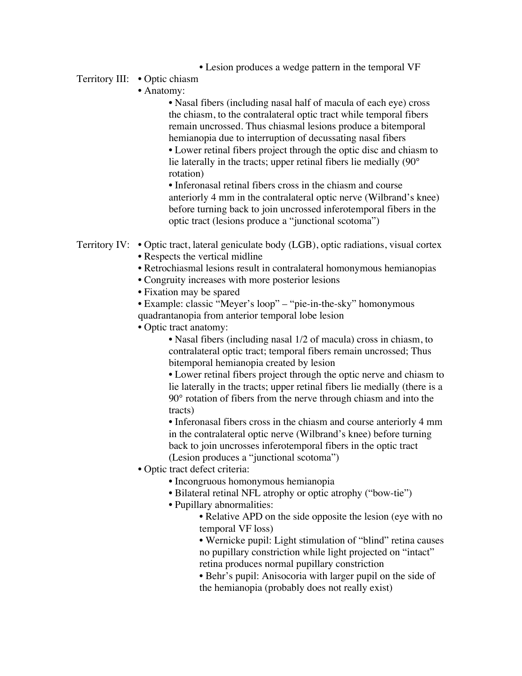• Lesion produces a wedge pattern in the temporal VF

## Territory III: • Optic chiasm

• Anatomy:

• Nasal fibers (including nasal half of macula of each eye) cross the chiasm, to the contralateral optic tract while temporal fibers remain uncrossed. Thus chiasmal lesions produce a bitemporal hemianopia due to interruption of decussating nasal fibers

• Lower retinal fibers project through the optic disc and chiasm to lie laterally in the tracts; upper retinal fibers lie medially (90° rotation)

• Inferonasal retinal fibers cross in the chiasm and course anteriorly 4 mm in the contralateral optic nerve (Wilbrand's knee) before turning back to join uncrossed inferotemporal fibers in the optic tract (lesions produce a "junctional scotoma")

- Territory IV: Optic tract, lateral geniculate body (LGB), optic radiations, visual cortex • Respects the vertical midline
	- Retrochiasmal lesions result in contralateral homonymous hemianopias
	- Congruity increases with more posterior lesions
	- Fixation may be spared
	- Example: classic "Meyer's loop" "pie-in-the-sky" homonymous quadrantanopia from anterior temporal lobe lesion
	- Optic tract anatomy:

• Nasal fibers (including nasal 1/2 of macula) cross in chiasm, to contralateral optic tract; temporal fibers remain uncrossed; Thus bitemporal hemianopia created by lesion

• Lower retinal fibers project through the optic nerve and chiasm to lie laterally in the tracts; upper retinal fibers lie medially (there is a 90° rotation of fibers from the nerve through chiasm and into the tracts)

• Inferonasal fibers cross in the chiasm and course anteriorly 4 mm in the contralateral optic nerve (Wilbrand's knee) before turning back to join uncrosses inferotemporal fibers in the optic tract (Lesion produces a "junctional scotoma")

- Optic tract defect criteria:
	- Incongruous homonymous hemianopia
	- Bilateral retinal NFL atrophy or optic atrophy ("bow-tie")
	- Pupillary abnormalities:
		- Relative APD on the side opposite the lesion (eye with no temporal VF loss)

• Wernicke pupil: Light stimulation of "blind" retina causes no pupillary constriction while light projected on "intact" retina produces normal pupillary constriction

• Behr's pupil: Anisocoria with larger pupil on the side of the hemianopia (probably does not really exist)